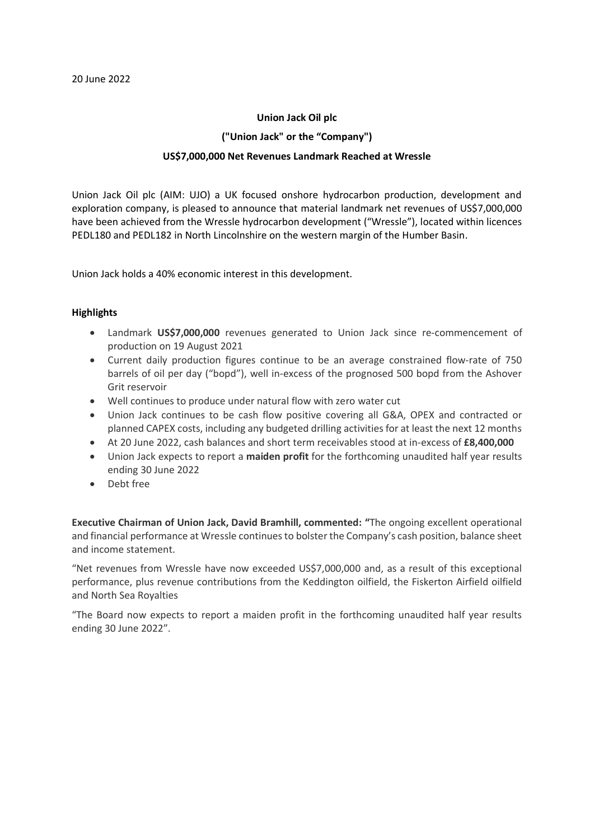#### **Union Jack Oil plc**

#### **("Union Jack" or the "Company")**

### **US\$7,000,000 Net Revenues Landmark Reached at Wressle**

Union Jack Oil plc (AIM: UJO) a UK focused onshore hydrocarbon production, development and exploration company, is pleased to announce that material landmark net revenues of US\$7,000,000 have been achieved from the Wressle hydrocarbon development ("Wressle"), located within licences PEDL180 and PEDL182 in North Lincolnshire on the western margin of the Humber Basin.

Union Jack holds a 40% economic interest in this development.

### **Highlights**

- Landmark US\$7,000,000 revenues generated to Union Jack since re-commencement of production on 19 August 2021
- Current daily production figures continue to be an average constrained flow-rate of 750 barrels of oil per day ("bopd"), well in-excess of the prognosed 500 bopd from the Ashover Grit reservoir
- Well continues to produce under natural flow with zero water cut
- Union Jack continues to be cash flow positive covering all G&A, OPEX and contracted or planned CAPEX costs, including any budgeted drilling activities for at least the next 12 months
- At 20 June 2022, cash balances and short term receivables stood at in-excess of **£8,400,000**
- Union Jack expects to report a **maiden profit** for the forthcoming unaudited half year results ending 30 June 2022
- Debt free

**Executive Chairman of Union Jack, David Bramhill, commented: "**The ongoing excellent operational and financial performance at Wressle continues to bolster the Company's cash position, balance sheet and income statement.

"Net revenues from Wressle have now exceeded US\$7,000,000 and, as a result of this exceptional performance, plus revenue contributions from the Keddington oilfield, the Fiskerton Airfield oilfield and North Sea Royalties

"The Board now expects to report a maiden profit in the forthcoming unaudited half year results ending 30 June 2022".